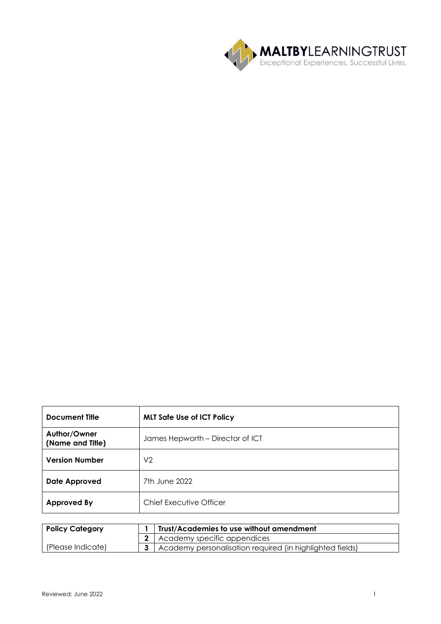

| <b>Document Title</b>                         | <b>MLT Safe Use of ICT Policy</b> |  |  |
|-----------------------------------------------|-----------------------------------|--|--|
| Author/Owner<br>(Name and Title)              | James Hepworth - Director of ICT  |  |  |
| <b>Version Number</b>                         | V <sub>2</sub>                    |  |  |
| <b>Date Approved</b>                          | 7th June 2022                     |  |  |
| Chief Executive Officer<br><b>Approved By</b> |                                   |  |  |

| <b>Policy Category</b> | <b>Trust/Academies to use without amendment</b>          |  |
|------------------------|----------------------------------------------------------|--|
|                        | 2 Academy specific appendices                            |  |
| (Please Indicate)      | Academy personalisation required (in highlighted fields) |  |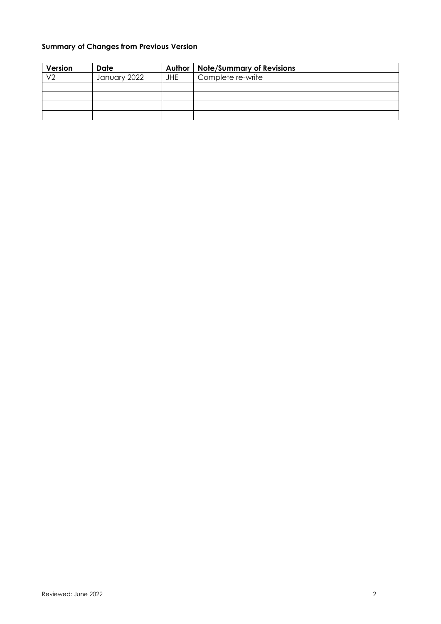## **Summary of Changes from Previous Version**

| Version        | Date         | Author     | <b>Note/Summary of Revisions</b> |
|----------------|--------------|------------|----------------------------------|
| V <sub>2</sub> | January 2022 | <b>JHE</b> | Complete re-write                |
|                |              |            |                                  |
|                |              |            |                                  |
|                |              |            |                                  |
|                |              |            |                                  |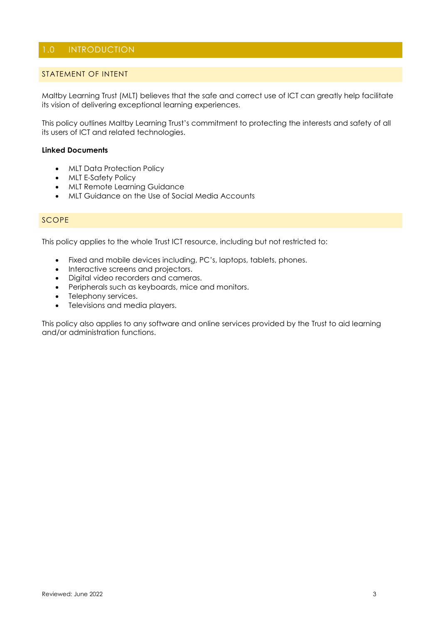## 1.0 INTRODUCTION

#### STATEMENT OF INTENT

Maltby Learning Trust (MLT) believes that the safe and correct use of ICT can greatly help facilitate its vision of delivering exceptional learning experiences.

This policy outlines Maltby Learning Trust's commitment to protecting the interests and safety of all its users of ICT and related technologies.

#### **Linked Documents**

- MLT Data Protection Policy
- MLT E-Safety Policy
- MLT Remote Learning Guidance
- MLT Guidance on the Use of Social Media Accounts

#### **SCOPE**

This policy applies to the whole Trust ICT resource, including but not restricted to:

- Fixed and mobile devices including, PC's, laptops, tablets, phones.
- Interactive screens and projectors.
- Digital video recorders and cameras.
- Peripherals such as keyboards, mice and monitors.
- Telephony services.
- Televisions and media players.

This policy also applies to any software and online services provided by the Trust to aid learning and/or administration functions.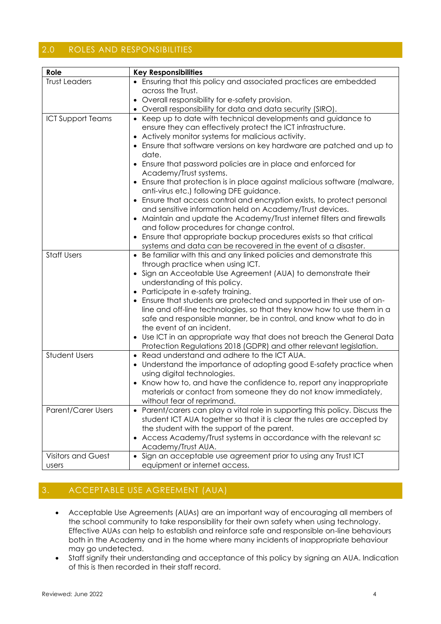## 2.0 ROLES AND RESPONSIBILITIES

| Role                      | <b>Key Responsibilities</b>                                                                                                                                                                                                                                                                                                                                                                                                                                                                                                                                                                                                                                                                                                                          |
|---------------------------|------------------------------------------------------------------------------------------------------------------------------------------------------------------------------------------------------------------------------------------------------------------------------------------------------------------------------------------------------------------------------------------------------------------------------------------------------------------------------------------------------------------------------------------------------------------------------------------------------------------------------------------------------------------------------------------------------------------------------------------------------|
| <b>Trust Leaders</b>      | • Ensuring that this policy and associated practices are embedded                                                                                                                                                                                                                                                                                                                                                                                                                                                                                                                                                                                                                                                                                    |
|                           | across the Trust.                                                                                                                                                                                                                                                                                                                                                                                                                                                                                                                                                                                                                                                                                                                                    |
|                           | Overall responsibility for e-safety provision.                                                                                                                                                                                                                                                                                                                                                                                                                                                                                                                                                                                                                                                                                                       |
|                           | Overall responsibility for data and data security (SIRO).                                                                                                                                                                                                                                                                                                                                                                                                                                                                                                                                                                                                                                                                                            |
| <b>ICT Support Teams</b>  | • Keep up to date with technical developments and guidance to<br>ensure they can effectively protect the ICT infrastructure.<br>Actively monitor systems for malicious activity.<br>• Ensure that software versions on key hardware are patched and up to<br>date.<br>• Ensure that password policies are in place and enforced for<br>Academy/Trust systems.<br>• Ensure that protection is in place against malicious software (malware,<br>anti-virus etc.) following DFE guidance.<br>• Ensure that access control and encryption exists, to protect personal<br>and sensitive information held on Academy/Trust devices.<br>• Maintain and update the Academy/Trust internet filters and firewalls<br>and follow procedures for change control. |
|                           | Ensure that appropriate backup procedures exists so that critical                                                                                                                                                                                                                                                                                                                                                                                                                                                                                                                                                                                                                                                                                    |
|                           | systems and data can be recovered in the event of a disaster.                                                                                                                                                                                                                                                                                                                                                                                                                                                                                                                                                                                                                                                                                        |
| <b>Staff Users</b>        | Be familiar with this and any linked policies and demonstrate this<br>through practice when using ICT.<br>Sign an Acceotable Use Agreement (AUA) to demonstrate their<br>understanding of this policy.<br>Participate in e-safety training.<br>Ensure that students are protected and supported in their use of on-<br>line and off-line technologies, so that they know how to use them in a<br>safe and responsible manner, be in control, and know what to do in<br>the event of an incident.<br>Use ICT in an appropriate way that does not breach the General Data<br>Protection Regulations 2018 (GDPR) and other relevant legislation.                                                                                                        |
| <b>Student Users</b>      | Read understand and adhere to the ICT AUA.<br>$\bullet$<br>Understand the importance of adopting good E-safety practice when<br>using digital technologies.<br>Know how to, and have the confidence to, report any inappropriate<br>materials or contact from someone they do not know immediately,<br>without fear of reprimand.                                                                                                                                                                                                                                                                                                                                                                                                                    |
| <b>Parent/Carer Users</b> | Parent/carers can play a vital role in supporting this policy. Discuss the<br>student ICT AUA together so that it is clear the rules are accepted by<br>the student with the support of the parent.<br>• Access Academy/Trust systems in accordance with the relevant sc<br>Academy/Trust AUA.                                                                                                                                                                                                                                                                                                                                                                                                                                                       |
| <b>Visitors and Guest</b> | Sign an acceptable use agreement prior to using any Trust ICT                                                                                                                                                                                                                                                                                                                                                                                                                                                                                                                                                                                                                                                                                        |
| <b>USers</b>              | equipment or internet access.                                                                                                                                                                                                                                                                                                                                                                                                                                                                                                                                                                                                                                                                                                                        |

# 3. ACCEPTABLE USE AGREEMENT (AUA)

- Acceptable Use Agreements (AUAs) are an important way of encouraging all members of the school community to take responsibility for their own safety when using technology. Effective AUAs can help to establish and reinforce safe and responsible on-line behaviours both in the Academy and in the home where many incidents of inappropriate behaviour may go undetected.
- Staff signify their understanding and acceptance of this policy by signing an AUA. Indication of this is then recorded in their staff record.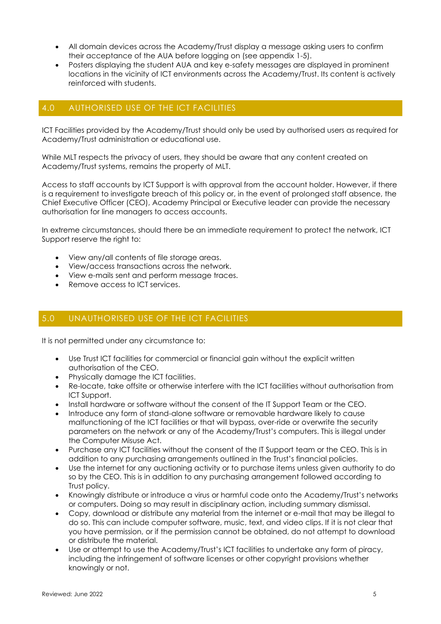- All domain devices across the Academy/Trust display a message asking users to confirm their acceptance of the AUA before logging on (see appendix 1-5).
- Posters displaying the student AUA and key e-safety messages are displayed in prominent locations in the vicinity of ICT environments across the Academy/Trust. Its content is actively reinforced with students.

### 4.0 AUTHORISED USE OF THE ICT FACILITIES

ICT Facilities provided by the Academy/Trust should only be used by authorised users as required for Academy/Trust administration or educational use.

While MLT respects the privacy of users, they should be aware that any content created on Academy/Trust systems, remains the property of MLT.

Access to staff accounts by ICT Support is with approval from the account holder. However, if there is a requirement to investigate breach of this policy or, in the event of prolonged staff absence, the Chief Executive Officer (CEO), Academy Principal or Executive leader can provide the necessary authorisation for line managers to access accounts.

In extreme circumstances, should there be an immediate requirement to protect the network, ICT Support reserve the right to:

- View any/all contents of file storage areas.
- View/access transactions across the network.
- View e-mails sent and perform message traces.
- Remove access to ICT services.

## 5.0 UNAUTHORISED USE OF THE ICT FACILITIES

It is not permitted under any circumstance to:

- Use Trust ICT facilities for commercial or financial gain without the explicit written authorisation of the CEO.
- Physically damage the ICT facilities.
- Re-locate, take offsite or otherwise interfere with the ICT facilities without authorisation from ICT Support.
- Install hardware or software without the consent of the IT Support Team or the CEO.
- Introduce any form of stand-alone software or removable hardware likely to cause malfunctioning of the ICT facilities or that will bypass, over-ride or overwrite the security parameters on the network or any of the Academy/Trust's computers. This is illegal under the Computer Misuse Act.
- Purchase any ICT facilities without the consent of the IT Support team or the CEO. This is in addition to any purchasing arrangements outlined in the Trust's financial policies.
- Use the internet for any auctioning activity or to purchase items unless given authority to do so by the CEO. This is in addition to any purchasing arrangement followed according to Trust policy.
- Knowingly distribute or introduce a virus or harmful code onto the Academy/Trust's networks or computers. Doing so may result in disciplinary action, including summary dismissal.
- Copy, download or distribute any material from the internet or e-mail that may be illegal to do so. This can include computer software, music, text, and video clips. If it is not clear that you have permission, or if the permission cannot be obtained, do not attempt to download or distribute the material.
- Use or attempt to use the Academy/Trust's ICT facilities to undertake any form of piracy, including the infringement of software licenses or other copyright provisions whether knowingly or not.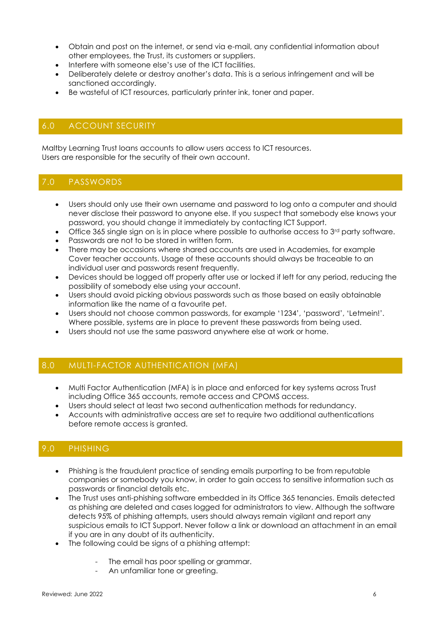- Obtain and post on the internet, or send via e-mail, any confidential information about other employees, the Trust, its customers or suppliers.
- Interfere with someone else's use of the ICT facilities.
- Deliberately delete or destroy another's data. This is a serious infringement and will be sanctioned accordingly.
- Be wasteful of ICT resources, particularly printer ink, toner and paper.

## 6.0 ACCOUNT SECURITY

Maltby Learning Trust loans accounts to allow users access to ICT resources. Users are responsible for the security of their own account.

## 7.0 PASSWORDS

- Users should only use their own username and password to log onto a computer and should never disclose their password to anyone else. If you suspect that somebody else knows your password, you should change it immediately by contacting ICT Support.
- Office 365 single sign on is in place where possible to authorise access to 3<sup>rd</sup> party software.
- Passwords are not to be stored in written form.
- There may be occasions where shared accounts are used in Academies, for example Cover teacher accounts. Usage of these accounts should always be traceable to an individual user and passwords resent frequently.
- Devices should be logged off properly after use or locked if left for any period, reducing the possibility of somebody else using your account.
- Users should avoid picking obvious passwords such as those based on easily obtainable information like the name of a favourite pet.
- Users should not choose common passwords, for example '1234', 'password', 'Letmein!'. Where possible, systems are in place to prevent these passwords from being used.
- Users should not use the same password anywhere else at work or home.

### 8.0 MULTI-FACTOR AUTHENTICATION (MFA)

- Multi Factor Authentication (MFA) is in place and enforced for key systems across Trust including Office 365 accounts, remote access and CPOMS access.
- Users should select at least two second authentication methods for redundancy.
- Accounts with administrative access are set to require two additional authentications before remote access is granted.

### 9.0 PHISHING

- Phishing is the fraudulent practice of sending emails purporting to be from reputable companies or somebody you know, in order to gain access to sensitive information such as passwords or financial details etc.
- The Trust uses anti-phishing software embedded in its Office 365 tenancies. Emails detected as phishing are deleted and cases logged for administrators to view. Although the software detects 95% of phishing attempts, users should always remain vigilant and report any suspicious emails to ICT Support. Never follow a link or download an attachment in an email if you are in any doubt of its authenticity.
- The following could be signs of a phishing attempt:
	- The email has poor spelling or grammar.
	- An unfamiliar tone or greeting.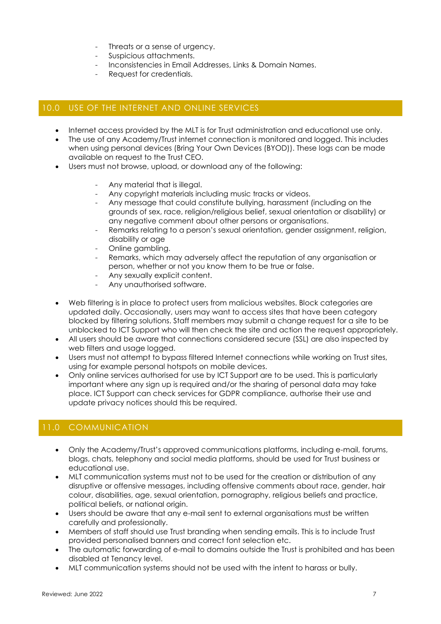- Threats or a sense of urgency.
- Suspicious attachments.
- Inconsistencies in Email Addresses, Links & Domain Names.
- Request for credentials.

## 10.0 USE OF THE INTERNET AND ONLINE SERVICES

- Internet access provided by the MLT is for Trust administration and educational use only.
- The use of any Academy/Trust internet connection is monitored and logged. This includes when using personal devices (Bring Your Own Devices (BYOD)). These logs can be made available on request to the Trust CEO.
- Users must not browse, upload, or download any of the following:
	- Any material that is illegal.
	- Any copyright materials including music tracks or videos.
	- Any message that could constitute bullying, harassment (including on the grounds of sex, race, religion/religious belief, sexual orientation or disability) or any negative comment about other persons or organisations.
	- Remarks relating to a person's sexual orientation, gender assignment, religion, disability or age
	- Online gambling.
	- Remarks, which may adversely affect the reputation of any organisation or person, whether or not you know them to be true or false.
	- Any sexually explicit content.
	- Any unauthorised software.
- Web filtering is in place to protect users from malicious websites. Block categories are updated daily. Occasionally, users may want to access sites that have been category blocked by filtering solutions. Staff members may submit a change request for a site to be unblocked to ICT Support who will then check the site and action the request appropriately.
- All users should be aware that connections considered secure (SSL) are also inspected by web filters and usage logged.
- Users must not attempt to bypass filtered Internet connections while working on Trust sites, using for example personal hotspots on mobile devices.
- Only online services authorised for use by ICT Support are to be used. This is particularly important where any sign up is required and/or the sharing of personal data may take place. ICT Support can check services for GDPR compliance, authorise their use and update privacy notices should this be required.

## 11.0 COMMUNICATION

- Only the Academy/Trust's approved communications platforms, including e-mail, forums, blogs, chats, telephony and social media platforms, should be used for Trust business or educational use.
- MLT communication systems must not to be used for the creation or distribution of any disruptive or offensive messages, including offensive comments about race, gender, hair colour, disabilities, age, sexual orientation, pornography, religious beliefs and practice, political beliefs, or national origin.
- Users should be aware that any e-mail sent to external organisations must be written carefully and professionally.
- Members of staff should use Trust branding when sending emails. This is to include Trust provided personalised banners and correct font selection etc.
- The automatic forwarding of e-mail to domains outside the Trust is prohibited and has been disabled at Tenancy level.
- MLT communication systems should not be used with the intent to harass or bully.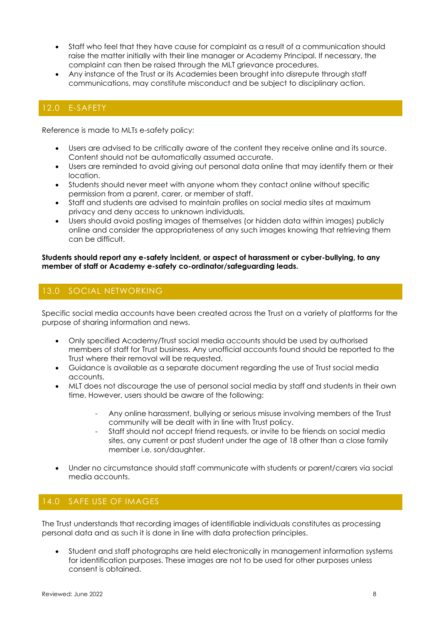- Staff who feel that they have cause for complaint as a result of a communication should raise the matter initially with their line manager or Academy Principal. If necessary, the complaint can then be raised through the MLT grievance procedures.
- Any instance of the Trust or its Academies been brought into disrepute through staff communications, may constitute misconduct and be subject to disciplinary action.

## 12.0 E-SAFETY

Reference is made to MLTs e-safety policy:

- Users are advised to be critically aware of the content they receive online and its source. Content should not be automatically assumed accurate.
- Users are reminded to avoid giving out personal data online that may identify them or their location.
- Students should never meet with anyone whom they contact online without specific permission from a parent, carer, or member of staff.
- Staff and students are advised to maintain profiles on social media sites at maximum privacy and deny access to unknown individuals.
- Users should avoid posting images of themselves (or hidden data within images) publicly online and consider the appropriateness of any such images knowing that retrieving them can be difficult.

#### **Students should report any e-safety incident, or aspect of harassment or cyber-bullying, to any member of staff or Academy e-safety co-ordinator/safeguarding leads.**

## 13.0 SOCIAL NETWORKING

Specific social media accounts have been created across the Trust on a variety of platforms for the purpose of sharing information and news.

- Only specified Academy/Trust social media accounts should be used by authorised members of staff for Trust business. Any unofficial accounts found should be reported to the Trust where their removal will be requested.
- Guidance is available as a separate document regarding the use of Trust social media accounts.
- MLT does not discourage the use of personal social media by staff and students in their own time. However, users should be aware of the following:
	- Any online harassment, bullying or serious misuse involving members of the Trust community will be dealt with in line with Trust policy.
	- Staff should not accept friend requests, or invite to be friends on social media sites, any current or past student under the age of 18 other than a close family member i.e. son/daughter.
- Under no circumstance should staff communicate with students or parent/carers via social media accounts.

## 14.0 SAFE USE OF IMAGES

The Trust understands that recording images of identifiable individuals constitutes as processing personal data and as such it is done in line with data protection principles.

• Student and staff photographs are held electronically in management information systems for identification purposes. These images are not to be used for other purposes unless consent is obtained.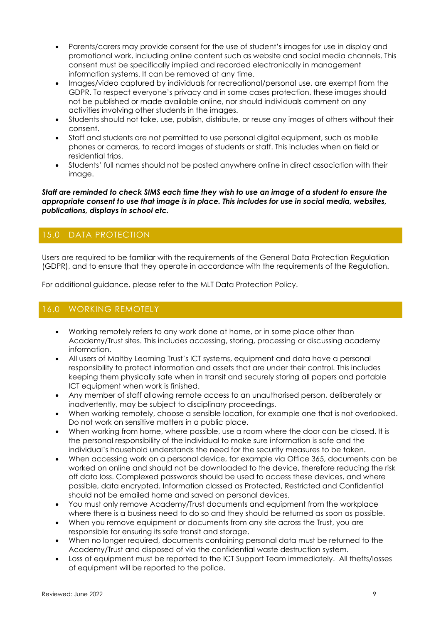- Parents/carers may provide consent for the use of student's images for use in display and promotional work, including online content such as website and social media channels. This consent must be specifically implied and recorded electronically in management information systems. It can be removed at any time.
- Images/video captured by individuals for recreational/personal use, are exempt from the GDPR. To respect everyone's privacy and in some cases protection, these images should not be published or made available online, nor should individuals comment on any activities involving other students in the images.
- Students should not take, use, publish, distribute, or reuse any images of others without their consent.
- Staff and students are not permitted to use personal digital equipment, such as mobile phones or cameras, to record images of students or staff. This includes when on field or residential trips.
- Students' full names should not be posted anywhere online in direct association with their image.

*Staff are reminded to check SIMS each time they wish to use an image of a student to ensure the appropriate consent to use that image is in place. This includes for use in social media, websites, publications, displays in school etc.*

## 15.0 DATA PROTECTION

Users are required to be familiar with the requirements of the General Data Protection Regulation (GDPR), and to ensure that they operate in accordance with the requirements of the Regulation.

For additional guidance, please refer to the MLT Data Protection Policy.

## 16.0 WORKING REMOTELY

- Working remotely refers to any work done at home, or in some place other than Academy/Trust sites. This includes accessing, storing, processing or discussing academy information.
- All users of Maltby Learning Trust's ICT systems, equipment and data have a personal responsibility to protect information and assets that are under their control. This includes keeping them physically safe when in transit and securely storing all papers and portable ICT equipment when work is finished.
- Any member of staff allowing remote access to an unauthorised person, deliberately or inadvertently, may be subject to disciplinary proceedings.
- When working remotely, choose a sensible location, for example one that is not overlooked. Do not work on sensitive matters in a public place.
- When working from home, where possible, use a room where the door can be closed. It is the personal responsibility of the individual to make sure information is safe and the individual's household understands the need for the security measures to be taken.
- When accessing work on a personal device, for example via Office 365, documents can be worked on online and should not be downloaded to the device, therefore reducing the risk off data loss. Complexed passwords should be used to access these devices, and where possible, data encrypted. Information classed as Protected, Restricted and Confidential should not be emailed home and saved on personal devices.
- You must only remove Academy/Trust documents and equipment from the workplace where there is a business need to do so and they should be returned as soon as possible.
- When you remove equipment or documents from any site across the Trust, you are responsible for ensuring its safe transit and storage.
- When no longer required, documents containing personal data must be returned to the Academy/Trust and disposed of via the confidential waste destruction system.
- Loss of equipment must be reported to the ICT Support Team immediately. All thefts/losses of equipment will be reported to the police.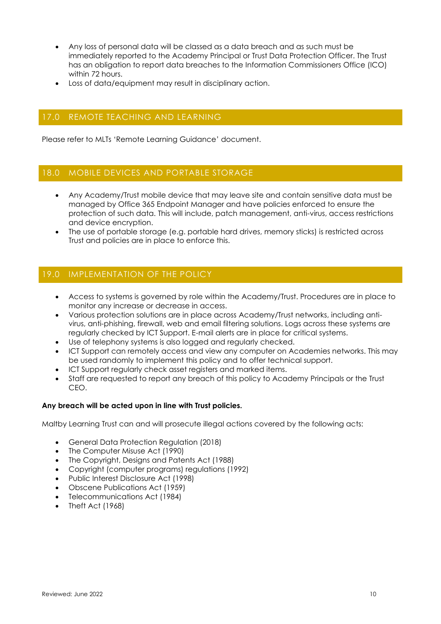- Any loss of personal data will be classed as a data breach and as such must be immediately reported to the Academy Principal or Trust Data Protection Officer. The Trust has an obligation to report data breaches to the Information Commissioners Office (ICO) within 72 hours.
- Loss of data/equipment may result in disciplinary action.

## 17.0 REMOTE TEACHING AND LEARNING

Please refer to MLTs 'Remote Learning Guidance' document.

### 18.0 MOBILE DEVICES AND PORTABLE STORAGE

- Any Academy/Trust mobile device that may leave site and contain sensitive data must be managed by Office 365 Endpoint Manager and have policies enforced to ensure the protection of such data. This will include, patch management, anti-virus, access restrictions and device encryption.
- The use of portable storage (e.g. portable hard drives, memory sticks) is restricted across Trust and policies are in place to enforce this.

## 19.0 IMPLEMENTATION OF THE POLICY

- Access to systems is governed by role within the Academy/Trust. Procedures are in place to monitor any increase or decrease in access.
- Various protection solutions are in place across Academy/Trust networks, including antivirus, anti-phishing, firewall, web and email filtering solutions. Logs across these systems are regularly checked by ICT Support. E-mail alerts are in place for critical systems.
- Use of telephony systems is also logged and regularly checked.
- ICT Support can remotely access and view any computer on Academies networks. This may be used randomly to implement this policy and to offer technical support.
- ICT Support regularly check asset registers and marked items.
- Staff are requested to report any breach of this policy to Academy Principals or the Trust CEO.

#### **Any breach will be acted upon in line with Trust policies.**

Maltby Learning Trust can and will prosecute illegal actions covered by the following acts:

- General Data Protection Regulation (2018)
- The Computer Misuse Act (1990)
- The Copyright, Designs and Patents Act (1988)
- Copyright (computer programs) regulations (1992)
- Public Interest Disclosure Act (1998)
- Obscene Publications Act (1959)
- Telecommunications Act (1984)
- Theft Act (1968)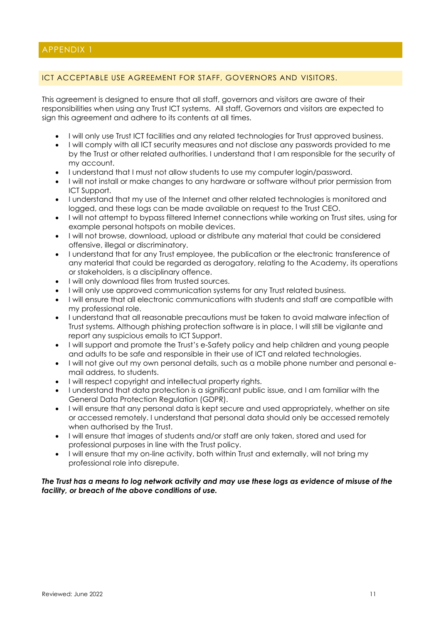### ICT ACCEPTABLE USE AGREEMENT FOR STAFF, GOVERNORS AND VISITORS.

This agreement is designed to ensure that all staff, governors and visitors are aware of their responsibilities when using any Trust ICT systems. All staff, Governors and visitors are expected to sign this agreement and adhere to its contents at all times.

- I will only use Trust ICT facilities and any related technologies for Trust approved business.
- I will comply with all ICT security measures and not disclose any passwords provided to me by the Trust or other related authorities. I understand that I am responsible for the security of my account.
- I understand that I must not allow students to use my computer login/password.
- I will not install or make changes to any hardware or software without prior permission from ICT Support.
- I understand that my use of the Internet and other related technologies is monitored and logged, and these logs can be made available on request to the Trust CEO.
- I will not attempt to bypass filtered Internet connections while working on Trust sites, using for example personal hotspots on mobile devices.
- I will not browse, download, upload or distribute any material that could be considered offensive, illegal or discriminatory.
- I understand that for any Trust employee, the publication or the electronic transference of any material that could be regarded as derogatory, relating to the Academy, its operations or stakeholders, is a disciplinary offence.
- I will only download files from trusted sources.
- I will only use approved communication systems for any Trust related business.
- I will ensure that all electronic communications with students and staff are compatible with my professional role.
- I understand that all reasonable precautions must be taken to avoid malware infection of Trust systems. Although phishing protection software is in place, I will still be vigilante and report any suspicious emails to ICT Support.
- I will support and promote the Trust's e-Safety policy and help children and young people and adults to be safe and responsible in their use of ICT and related technologies.
- I will not give out my own personal details, such as a mobile phone number and personal email address, to students.
- I will respect copyright and intellectual property rights.
- I understand that data protection is a significant public issue, and I am familiar with the General Data Protection Regulation (GDPR).
- I will ensure that any personal data is kept secure and used appropriately, whether on site or accessed remotely. I understand that personal data should only be accessed remotely when authorised by the Trust.
- I will ensure that images of students and/or staff are only taken, stored and used for professional purposes in line with the Trust policy.
- I will ensure that my on-line activity, both within Trust and externally, will not bring my professional role into disrepute.

#### *The Trust has a means to log network activity and may use these logs as evidence of misuse of the facility, or breach of the above conditions of use.*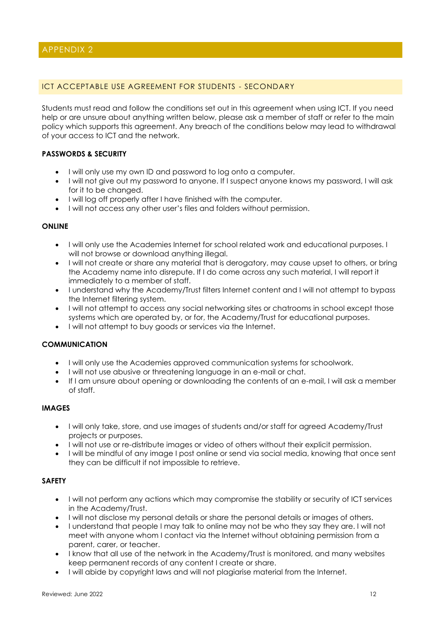### ICT ACCEPTABLE USE AGREEMENT FOR STUDENTS - SECONDARY

Students must read and follow the conditions set out in this agreement when using ICT. If you need help or are unsure about anything written below, please ask a member of staff or refer to the main policy which supports this agreement. Any breach of the conditions below may lead to withdrawal of your access to ICT and the network.

#### **PASSWORDS & SECURITY**

- I will only use my own ID and password to log onto a computer.
- I will not give out my password to anyone. If I suspect anyone knows my password, I will ask for it to be changed.
- I will log off properly after I have finished with the computer.
- I will not access any other user's files and folders without permission.

#### **ONLINE**

- I will only use the Academies Internet for school related work and educational purposes. I will not browse or download anything illegal.
- I will not create or share any material that is derogatory, may cause upset to others, or bring the Academy name into disrepute. If I do come across any such material, I will report it immediately to a member of staff.
- I understand why the Academy/Trust filters Internet content and I will not attempt to bypass the Internet filtering system.
- I will not attempt to access any social networking sites or chatrooms in school except those systems which are operated by, or for, the Academy/Trust for educational purposes.
- I will not attempt to buy goods or services via the Internet.

#### **COMMUNICATION**

- I will only use the Academies approved communication systems for schoolwork.
- I will not use abusive or threatening language in an e-mail or chat.
- If I am unsure about opening or downloading the contents of an e-mail, I will ask a member of staff.

#### **IMAGES**

- I will only take, store, and use images of students and/or staff for agreed Academy/Trust projects or purposes.
- I will not use or re-distribute images or video of others without their explicit permission.
- I will be mindful of any image I post online or send via social media, knowing that once sent they can be difficult if not impossible to retrieve.

#### **SAFETY**

- I will not perform any actions which may compromise the stability or security of ICT services in the Academy/Trust.
- I will not disclose my personal details or share the personal details or images of others.
- I understand that people I may talk to online may not be who they say they are. I will not meet with anyone whom I contact via the Internet without obtaining permission from a parent, carer, or teacher.
- I know that all use of the network in the Academy/Trust is monitored, and many websites keep permanent records of any content I create or share.
- I will abide by copyright laws and will not plagiarise material from the Internet.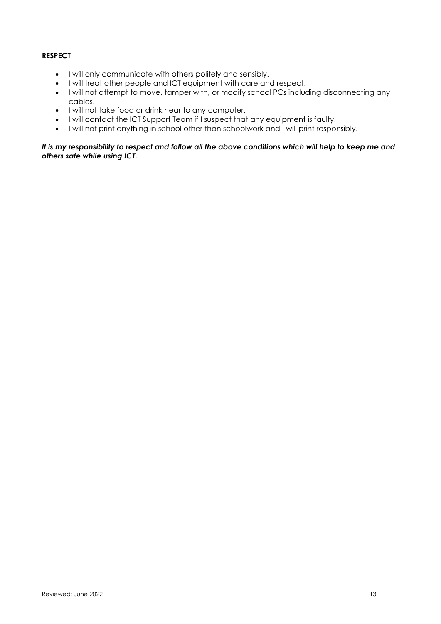### **RESPECT**

- I will only communicate with others politely and sensibly.
- I will treat other people and ICT equipment with care and respect.
- I will not attempt to move, tamper with, or modify school PCs including disconnecting any cables.
- I will not take food or drink near to any computer.
- I will contact the ICT Support Team if I suspect that any equipment is faulty.
- I will not print anything in school other than schoolwork and I will print responsibly.

*It is my responsibility to respect and follow all the above conditions which will help to keep me and others safe while using ICT.*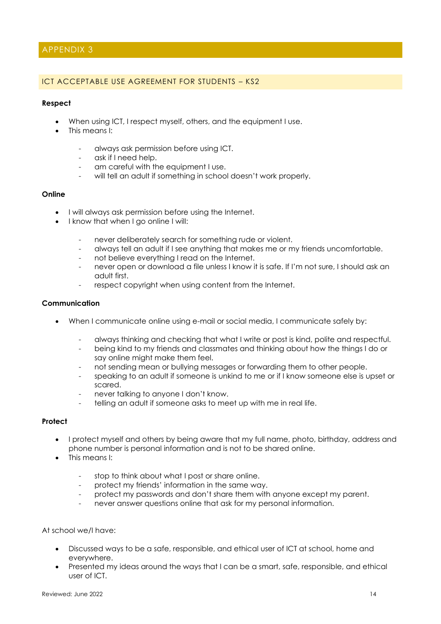### APPENDIX 3

#### ICT ACCEPTABLE USE AGREEMENT FOR STUDENTS – KS2

#### **Respect**

- When using ICT, I respect myself, others, and the equipment I use.
- This means I:
	- always ask permission before using ICT.
	- ask if I need help.
	- am careful with the equipment I use.
	- will tell an adult if something in school doesn't work properly.

#### **Online**

- I will always ask permission before using the Internet.
- I know that when I go online I will:
	- never deliberately search for something rude or violent.
	- always tell an adult if I see anything that makes me or my friends uncomfortable.
	- not believe everything I read on the Internet.
	- never open or download a file unless I know it is safe. If I'm not sure, I should ask an adult first.
	- respect copyright when using content from the Internet.

#### **Communication**

- When I communicate online using e-mail or social media, I communicate safely by:
	- always thinking and checking that what I write or post is kind, polite and respectful.
	- being kind to my friends and classmates and thinking about how the things I do or say online might make them feel.
	- not sending mean or bullying messages or forwarding them to other people.
	- speaking to an adult if someone is unkind to me or if I know someone else is upset or scared.
	- never talking to anyone I don't know.
	- telling an adult if someone asks to meet up with me in real life.

#### **Protect**

- I protect myself and others by being aware that my full name, photo, birthday, address and phone number is personal information and is not to be shared online.
- This means I:
	- stop to think about what I post or share online.
	- protect my friends' information in the same way.
	- protect my passwords and don't share them with anyone except my parent.
	- never answer auestions online that ask for my personal information.

#### At school we/I have:

- Discussed ways to be a safe, responsible, and ethical user of ICT at school, home and everywhere.
- Presented my ideas around the ways that I can be a smart, safe, responsible, and ethical user of ICT.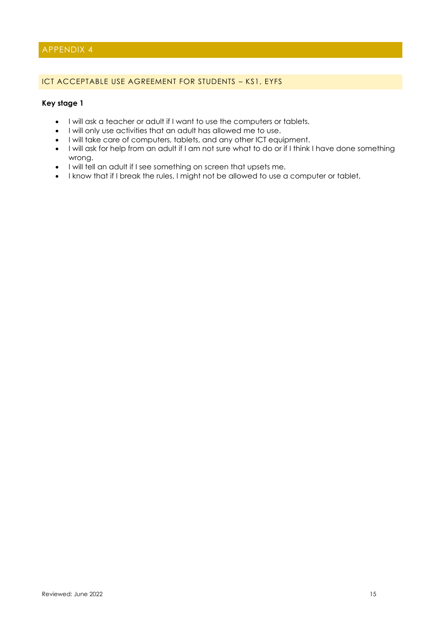### APPENDIX 4

#### ICT ACCEPTABLE USE AGREEMENT FOR STUDENTS – KS1, EYFS

### **Key stage 1**

- I will ask a teacher or adult if I want to use the computers or tablets.
- I will only use activities that an adult has allowed me to use.
- I will take care of computers, tablets, and any other ICT equipment.
- I will ask for help from an adult if I am not sure what to do or if I think I have done something wrong.
- I will tell an adult if I see something on screen that upsets me.
- I know that if I break the rules, I might not be allowed to use a computer or tablet.